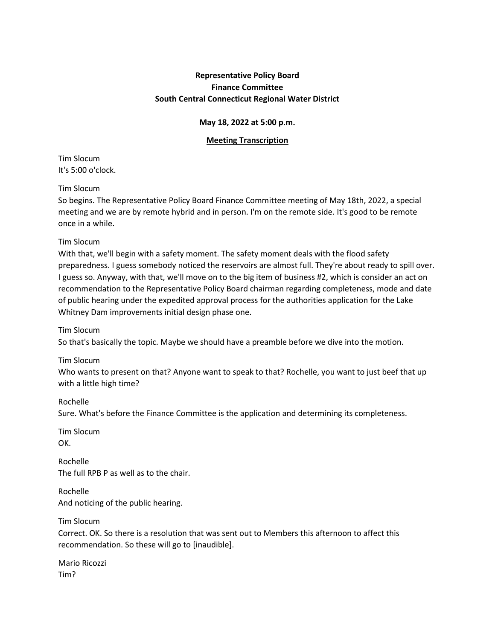# **Representative Policy Board Finance Committee South Central Connecticut Regional Water District**

# **May 18, 2022 at 5:00 p.m.**

## **Meeting Transcription**

Tim Slocum It's 5:00 o'clock.

### Tim Slocum

So begins. The Representative Policy Board Finance Committee meeting of May 18th, 2022, a special meeting and we are by remote hybrid and in person. I'm on the remote side. It's good to be remote once in a while.

#### Tim Slocum

With that, we'll begin with a safety moment. The safety moment deals with the flood safety preparedness. I guess somebody noticed the reservoirs are almost full. They're about ready to spill over. I guess so. Anyway, with that, we'll move on to the big item of business #2, which is consider an act on recommendation to the Representative Policy Board chairman regarding completeness, mode and date of public hearing under the expedited approval process for the authorities application for the Lake Whitney Dam improvements initial design phase one.

Tim Slocum

So that's basically the topic. Maybe we should have a preamble before we dive into the motion.

Tim Slocum Who wants to present on that? Anyone want to speak to that? Rochelle, you want to just beef that up with a little high time?

Rochelle Sure. What's before the Finance Committee is the application and determining its completeness.

Tim Slocum OK.

Rochelle The full RPB P as well as to the chair.

Rochelle And noticing of the public hearing.

Tim Slocum Correct. OK. So there is a resolution that was sent out to Members this afternoon to affect this recommendation. So these will go to [inaudible].

Mario Ricozzi Tim?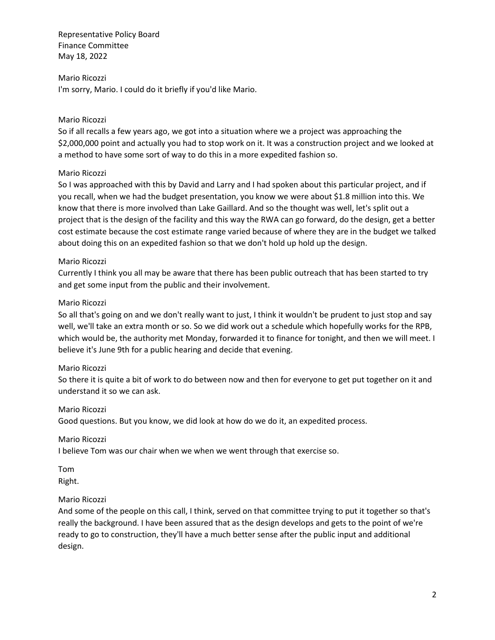#### Mario Ricozzi

I'm sorry, Mario. I could do it briefly if you'd like Mario.

### Mario Ricozzi

So if all recalls a few years ago, we got into a situation where we a project was approaching the \$2,000,000 point and actually you had to stop work on it. It was a construction project and we looked at a method to have some sort of way to do this in a more expedited fashion so.

### Mario Ricozzi

So I was approached with this by David and Larry and I had spoken about this particular project, and if you recall, when we had the budget presentation, you know we were about \$1.8 million into this. We know that there is more involved than Lake Gaillard. And so the thought was well, let's split out a project that is the design of the facility and this way the RWA can go forward, do the design, get a better cost estimate because the cost estimate range varied because of where they are in the budget we talked about doing this on an expedited fashion so that we don't hold up hold up the design.

#### Mario Ricozzi

Currently I think you all may be aware that there has been public outreach that has been started to try and get some input from the public and their involvement.

#### Mario Ricozzi

So all that's going on and we don't really want to just, I think it wouldn't be prudent to just stop and say well, we'll take an extra month or so. So we did work out a schedule which hopefully works for the RPB, which would be, the authority met Monday, forwarded it to finance for tonight, and then we will meet. I believe it's June 9th for a public hearing and decide that evening.

### Mario Ricozzi

So there it is quite a bit of work to do between now and then for everyone to get put together on it and understand it so we can ask.

#### Mario Ricozzi

Good questions. But you know, we did look at how do we do it, an expedited process.

### Mario Ricozzi

I believe Tom was our chair when we when we went through that exercise so.

Tom Right.

#### Mario Ricozzi

And some of the people on this call, I think, served on that committee trying to put it together so that's really the background. I have been assured that as the design develops and gets to the point of we're ready to go to construction, they'll have a much better sense after the public input and additional design.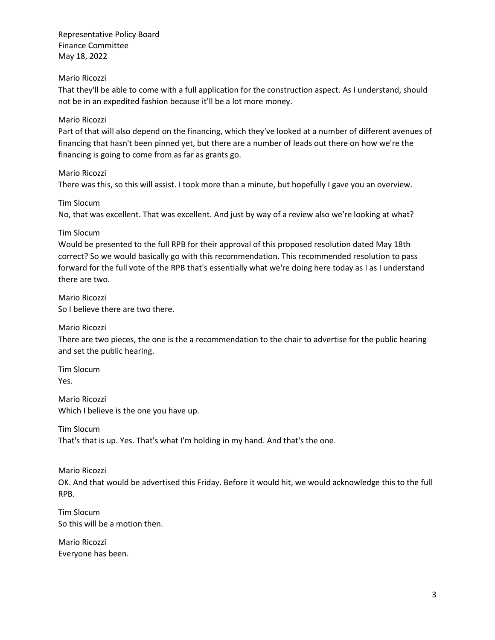## Mario Ricozzi

That they'll be able to come with a full application for the construction aspect. As I understand, should not be in an expedited fashion because it'll be a lot more money.

## Mario Ricozzi

Part of that will also depend on the financing, which they've looked at a number of different avenues of financing that hasn't been pinned yet, but there are a number of leads out there on how we're the financing is going to come from as far as grants go.

Mario Ricozzi

There was this, so this will assist. I took more than a minute, but hopefully I gave you an overview.

Tim Slocum

No, that was excellent. That was excellent. And just by way of a review also we're looking at what?

## Tim Slocum

Would be presented to the full RPB for their approval of this proposed resolution dated May 18th correct? So we would basically go with this recommendation. This recommended resolution to pass forward for the full vote of the RPB that's essentially what we're doing here today as I as I understand there are two.

Mario Ricozzi So I believe there are two there.

# Mario Ricozzi

There are two pieces, the one is the a recommendation to the chair to advertise for the public hearing and set the public hearing.

Tim Slocum Yes.

Mario Ricozzi Which I believe is the one you have up.

Tim Slocum That's that is up. Yes. That's what I'm holding in my hand. And that's the one.

Mario Ricozzi

OK. And that would be advertised this Friday. Before it would hit, we would acknowledge this to the full RPB.

Tim Slocum So this will be a motion then.

Mario Ricozzi Everyone has been.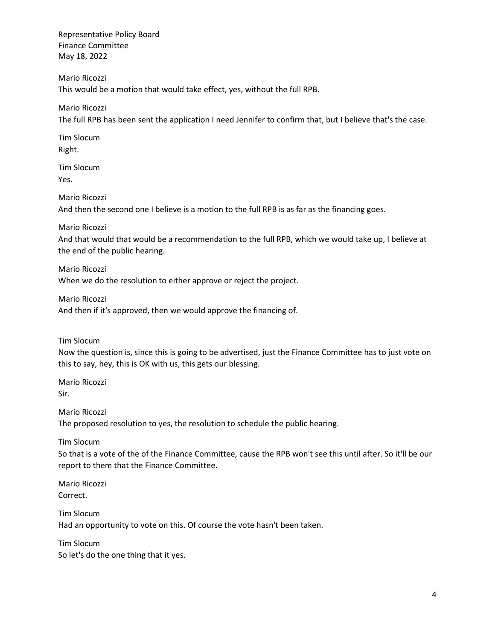Mario Ricozzi This would be a motion that would take effect, yes, without the full RPB.

Mario Ricozzi

The full RPB has been sent the application I need Jennifer to confirm that, but I believe that's the case.

Tim Slocum Right.

Tim Slocum Yes.

Mario Ricozzi

And then the second one I believe is a motion to the full RPB is as far as the financing goes.

Mario Ricozzi

And that would that would be a recommendation to the full RPB, which we would take up, I believe at the end of the public hearing.

Mario Ricozzi When we do the resolution to either approve or reject the project.

Mario Ricozzi

And then if it's approved, then we would approve the financing of.

Tim Slocum

Now the question is, since this is going to be advertised, just the Finance Committee has to just vote on this to say, hey, this is OK with us, this gets our blessing.

Mario Ricozzi Sir.

Mario Ricozzi The proposed resolution to yes, the resolution to schedule the public hearing.

Tim Slocum

So that is a vote of the of the Finance Committee, cause the RPB won't see this until after. So it'll be our report to them that the Finance Committee.

Mario Ricozzi Correct.

Tim Slocum Had an opportunity to vote on this. Of course the vote hasn't been taken.

Tim Slocum So let's do the one thing that it yes.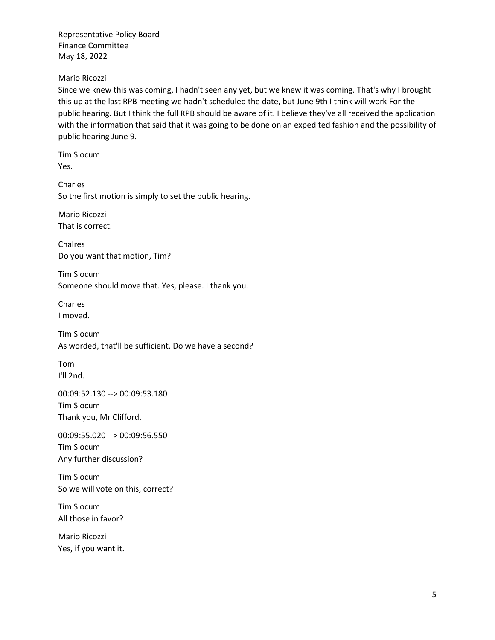## Mario Ricozzi

Since we knew this was coming, I hadn't seen any yet, but we knew it was coming. That's why I brought this up at the last RPB meeting we hadn't scheduled the date, but June 9th I think will work For the public hearing. But I think the full RPB should be aware of it. I believe they've all received the application with the information that said that it was going to be done on an expedited fashion and the possibility of public hearing June 9.

Tim Slocum Yes.

Charles So the first motion is simply to set the public hearing.

Mario Ricozzi That is correct.

Chalres Do you want that motion, Tim?

Tim Slocum Someone should move that. Yes, please. I thank you.

Charles I moved.

Tim Slocum As worded, that'll be sufficient. Do we have a second?

Tom I'll 2nd.

00:09:52.130 --> 00:09:53.180 Tim Slocum Thank you, Mr Clifford.

00:09:55.020 --> 00:09:56.550 Tim Slocum Any further discussion?

Tim Slocum So we will vote on this, correct?

Tim Slocum All those in favor?

Mario Ricozzi Yes, if you want it.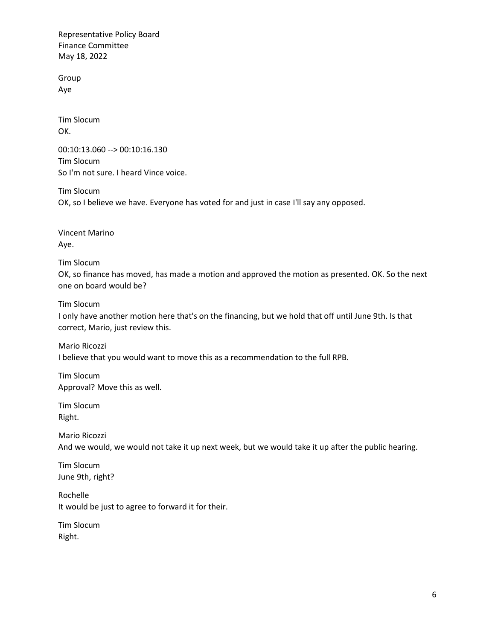Group Aye

Tim Slocum OK.

00:10:13.060 --> 00:10:16.130 Tim Slocum So I'm not sure. I heard Vince voice.

Tim Slocum OK, so I believe we have. Everyone has voted for and just in case I'll say any opposed.

Vincent Marino Aye.

Tim Slocum

OK, so finance has moved, has made a motion and approved the motion as presented. OK. So the next one on board would be?

Tim Slocum

I only have another motion here that's on the financing, but we hold that off until June 9th. Is that correct, Mario, just review this.

Mario Ricozzi I believe that you would want to move this as a recommendation to the full RPB.

Tim Slocum Approval? Move this as well.

Tim Slocum Right.

Mario Ricozzi And we would, we would not take it up next week, but we would take it up after the public hearing.

Tim Slocum June 9th, right?

Rochelle It would be just to agree to forward it for their.

Tim Slocum Right.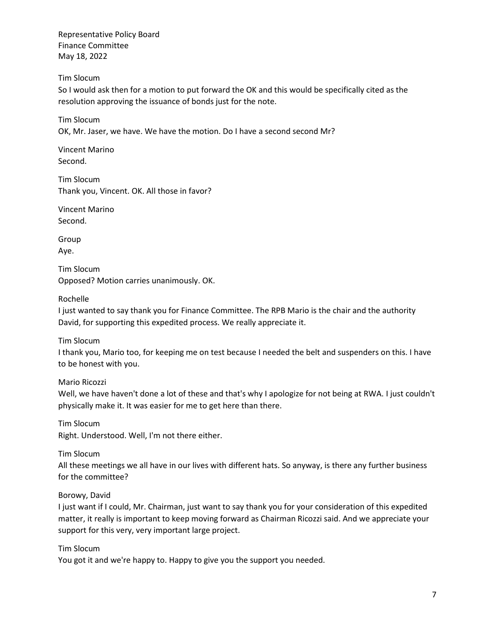Tim Slocum

So I would ask then for a motion to put forward the OK and this would be specifically cited as the resolution approving the issuance of bonds just for the note.

Tim Slocum OK, Mr. Jaser, we have. We have the motion. Do I have a second second Mr?

Vincent Marino Second.

Tim Slocum Thank you, Vincent. OK. All those in favor?

Vincent Marino Second.

Group

Aye.

Tim Slocum Opposed? Motion carries unanimously. OK.

Rochelle

I just wanted to say thank you for Finance Committee. The RPB Mario is the chair and the authority David, for supporting this expedited process. We really appreciate it.

Tim Slocum

I thank you, Mario too, for keeping me on test because I needed the belt and suspenders on this. I have to be honest with you.

Mario Ricozzi

Well, we have haven't done a lot of these and that's why I apologize for not being at RWA. I just couldn't physically make it. It was easier for me to get here than there.

Tim Slocum Right. Understood. Well, I'm not there either.

Tim Slocum

All these meetings we all have in our lives with different hats. So anyway, is there any further business for the committee?

Borowy, David

I just want if I could, Mr. Chairman, just want to say thank you for your consideration of this expedited matter, it really is important to keep moving forward as Chairman Ricozzi said. And we appreciate your support for this very, very important large project.

Tim Slocum

You got it and we're happy to. Happy to give you the support you needed.